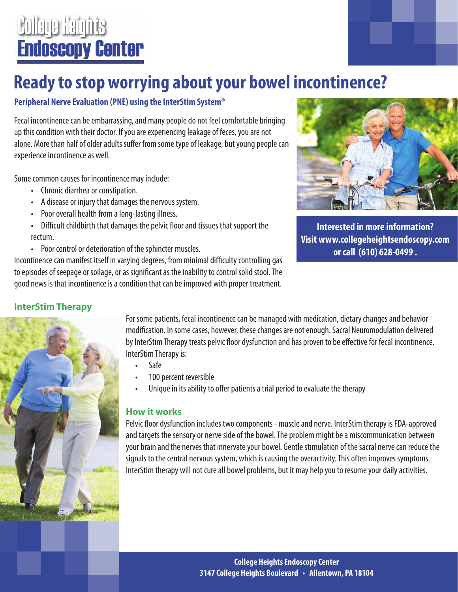## **College Heights Endoscopy Center**

### **Ready to stop worrying about your bowel incontinence?**

### **Peripheral Nerve Evaluation (PNE) using the InterStim System®**

Fecal incontinence can be embarrassing, and many people do not feel comfortable bringing up this condition with their doctor. If you are experiencing leakage of feces, you are not alone. More than half of older adults suffer from some type of leakage, but young people can experience incontinence as well.

Some common causes for incontinence may include:

- Chronic diarrhea or constipation.
- A disease or injury that damages the nervous system.
- Poor overall health from a long-lasting illness.
- Difficult childbirth that damages the pelvic floor and tissues that support the rectum.
- Poor control or deterioration of the sphincter muscles.

Incontinence can manifest itself in varying degrees, from minimal difficulty controlling gas to episodes of seepage or soilage, or as significant as the inability to control solid stool. The good news is that incontinence is a condition that can be improved with proper treatment.



**Interested in more information? Visit www.collegeheightsendoscopy.com or call (610) 628-0499 .**

### **InterStim Therapy**



For some patients, fecal incontinence can be managed with medication, dietary changes and behavior modification. In some cases, however, these changes are not enough. Sacral Neuromodulation delivered by InterStim Therapy treats pelvic floor dysfunction and has proven to be effective for fecal incontinence. InterStim Therapy is:

- Safe
- 100 percent reversible
- Unique in its ability to offer patients a trial period to evaluate the therapy

### **How it works**

Pelvic floor dysfunction includes two components - muscle and nerve. InterStim therapy is FDA-approved and targets the sensory or nerve side of the bowel. The problem might be a miscommunication between your brain and the nerves that innervate your bowel. Gentle stimulation of the sacral nerve can reduce the signals to the central nervous system, which is causing the overactivity. This often improves symptoms. InterStim therapy will not cure all bowel problems, but it may help you to resume your daily activities.